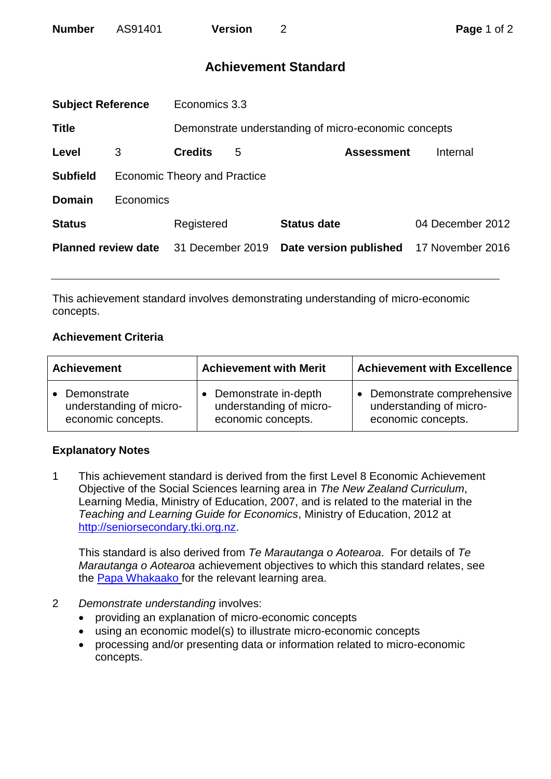# **Achievement Standard**

| <b>Subject Reference</b>   |                                     | Economics 3.3                                        |   |                        |                  |  |
|----------------------------|-------------------------------------|------------------------------------------------------|---|------------------------|------------------|--|
| <b>Title</b>               |                                     | Demonstrate understanding of micro-economic concepts |   |                        |                  |  |
| Level                      | 3                                   | <b>Credits</b>                                       | 5 | <b>Assessment</b>      | Internal         |  |
| <b>Subfield</b>            | <b>Economic Theory and Practice</b> |                                                      |   |                        |                  |  |
| <b>Domain</b>              | Economics                           |                                                      |   |                        |                  |  |
| <b>Status</b>              |                                     | Registered                                           |   | <b>Status date</b>     | 04 December 2012 |  |
| <b>Planned review date</b> |                                     | 31 December 2019                                     |   | Date version published | 17 November 2016 |  |
|                            |                                     |                                                      |   |                        |                  |  |

This achievement standard involves demonstrating understanding of micro-economic concepts.

## **Achievement Criteria**

| <b>Achievement</b>      | <b>Achievement with Merit</b> | <b>Achievement with Excellence</b> |  |
|-------------------------|-------------------------------|------------------------------------|--|
| • Demonstrate           | Demonstrate in-depth          | Demonstrate comprehensive          |  |
| understanding of micro- | understanding of micro-       | understanding of micro-            |  |
| economic concepts.      | economic concepts.            | economic concepts.                 |  |

## **Explanatory Notes**

1 This achievement standard is derived from the first Level 8 Economic Achievement Objective of the Social Sciences learning area in *The New Zealand Curriculum*, Learning Media, Ministry of Education, 2007, and is related to the material in the *Teaching and Learning Guide for Economics*, Ministry of Education, 2012 at [http://seniorsecondary.tki.org.nz.](http://seniorsecondary.tki.org.nz/)

This standard is also derived from *Te Marautanga o Aotearoa*. For details of *Te Marautanga o Aotearoa* achievement objectives to which this standard relates, see the [Papa Whakaako](http://tmoa.tki.org.nz/Te-Marautanga-o-Aotearoa/Taumata-Matauranga-a-Motu-Ka-Taea) for the relevant learning area.

- 2 *Demonstrate understanding* involves:
	- providing an explanation of micro-economic concepts
	- using an economic model(s) to illustrate micro-economic concepts
	- processing and/or presenting data or information related to micro-economic concepts.